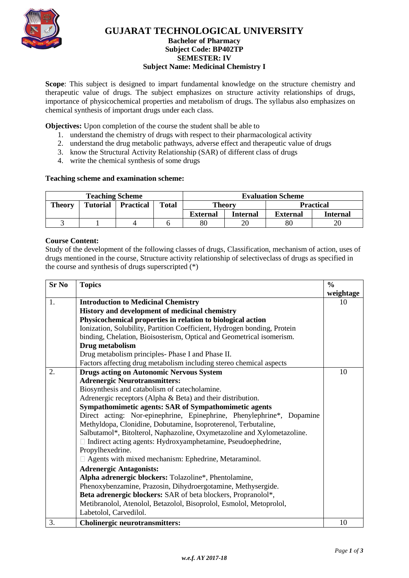

# **GUJARAT TECHNOLOGICAL UNIVERSITY**

### **Bachelor of Pharmacy Subject Code: [BP402TP](javascript:PopupCenter_upload() SEMESTER: IV Subject Name: Medicinal Chemistry I**

**Scope**: This subject is designed to impart fundamental knowledge on the structure chemistry and therapeutic value of drugs. The subject emphasizes on structure activity relationships of drugs, importance of physicochemical properties and metabolism of drugs. The syllabus also emphasizes on chemical synthesis of important drugs under each class.

**Objectives:** Upon completion of the course the student shall be able to

- 1. understand the chemistry of drugs with respect to their pharmacological activity
- 2. understand the drug metabolic pathways, adverse effect and therapeutic value of drugs
- 3. know the Structural Activity Relationship (SAR) of different class of drugs
- 4. write the chemical synthesis of some drugs

### **Teaching scheme and examination scheme:**

| <b>Teaching Scheme</b> |                 |                  |              | <b>Evaluation Scheme</b> |                 |                 |                  |
|------------------------|-----------------|------------------|--------------|--------------------------|-----------------|-----------------|------------------|
| <b>Theory</b>          | <b>Tutorial</b> | <b>Practical</b> | <b>Total</b> | Theory                   |                 |                 | <b>Practical</b> |
|                        |                 |                  |              | <b>External</b>          | <b>Internal</b> | <b>External</b> | Internal         |
|                        |                 |                  |              | 80                       | 20              | 80              |                  |

### **Course Content:**

Study of the development of the following classes of drugs, Classification, mechanism of action, uses of drugs mentioned in the course, Structure activity relationship of selectiveclass of drugs as specified in the course and synthesis of drugs superscripted (\*)

| <b>Sr No</b> | <b>Topics</b>                                                            | $\frac{0}{0}$ |  |  |
|--------------|--------------------------------------------------------------------------|---------------|--|--|
|              |                                                                          | weightage     |  |  |
| 1.           | <b>Introduction to Medicinal Chemistry</b>                               | 10            |  |  |
|              | History and development of medicinal chemistry                           |               |  |  |
|              | Physicochemical properties in relation to biological action              |               |  |  |
|              | Ionization, Solubility, Partition Coefficient, Hydrogen bonding, Protein |               |  |  |
|              | binding, Chelation, Bioisosterism, Optical and Geometrical isomerism.    |               |  |  |
|              | Drug metabolism                                                          |               |  |  |
|              | Drug metabolism principles-Phase I and Phase II.                         |               |  |  |
|              | Factors affecting drug metabolism including stereo chemical aspects      |               |  |  |
| 2.           | <b>Drugs acting on Autonomic Nervous System</b>                          | 10            |  |  |
|              | <b>Adrenergic Neurotransmitters:</b>                                     |               |  |  |
|              | Biosynthesis and catabolism of catecholamine.                            |               |  |  |
|              | Adrenergic receptors (Alpha & Beta) and their distribution.              |               |  |  |
|              | Sympathomimetic agents: SAR of Sympathomimetic agents                    |               |  |  |
|              | Direct acting: Nor-epinephrine, Epinephrine, Phenylephrine*, Dopamine    |               |  |  |
|              | Methyldopa, Clonidine, Dobutamine, Isoproterenol, Terbutaline,           |               |  |  |
|              | Salbutamol*, Bitolterol, Naphazoline, Oxymetazoline and Xylometazoline.  |               |  |  |
|              | □ Indirect acting agents: Hydroxyamphetamine, Pseudoephedrine,           |               |  |  |
|              | Propylhexedrine.                                                         |               |  |  |
|              | □ Agents with mixed mechanism: Ephedrine, Metaraminol.                   |               |  |  |
|              | <b>Adrenergic Antagonists:</b>                                           |               |  |  |
|              | Alpha adrenergic blockers: Tolazoline*, Phentolamine,                    |               |  |  |
|              | Phenoxybenzamine, Prazosin, Dihydroergotamine, Methysergide.             |               |  |  |
|              | Beta adrenergic blockers: SAR of beta blockers, Propranolol*,            |               |  |  |
|              | Metibranolol, Atenolol, Betazolol, Bisoprolol, Esmolol, Metoprolol,      |               |  |  |
|              | Labetolol, Carvedilol.                                                   |               |  |  |
| 3.           | <b>Cholinergic neurotransmitters:</b>                                    | 10            |  |  |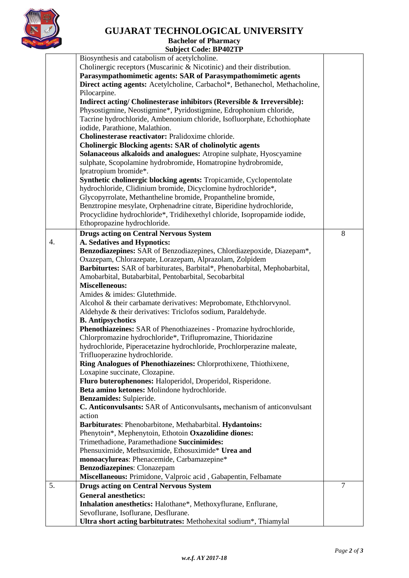

# **GUJARAT TECHNOLOGICAL UNIVERSITY**

**Bachelor of Pharmacy Subject Code: [BP402TP](javascript:PopupCenter_upload()**

|    | Biosynthesis and catabolism of acetylcholine.                                                                   |                |  |  |  |  |
|----|-----------------------------------------------------------------------------------------------------------------|----------------|--|--|--|--|
|    | Cholinergic receptors (Muscarinic & Nicotinic) and their distribution.                                          |                |  |  |  |  |
|    | Parasympathomimetic agents: SAR of Parasympathomimetic agents                                                   |                |  |  |  |  |
|    | Direct acting agents: Acetylcholine, Carbachol*, Bethanechol, Methacholine,                                     |                |  |  |  |  |
|    | Pilocarpine.                                                                                                    |                |  |  |  |  |
|    | Indirect acting/ Cholinesterase inhibitors (Reversible & Irreversible):                                         |                |  |  |  |  |
|    | Physostigmine, Neostigmine*, Pyridostigmine, Edrophonium chloride,                                              |                |  |  |  |  |
|    | Tacrine hydrochloride, Ambenonium chloride, Isofluorphate, Echothiophate                                        |                |  |  |  |  |
|    | iodide, Parathione, Malathion.                                                                                  |                |  |  |  |  |
|    | Cholinesterase reactivator: Pralidoxime chloride.                                                               |                |  |  |  |  |
|    | <b>Cholinergic Blocking agents: SAR of cholinolytic agents</b>                                                  |                |  |  |  |  |
|    | Solanaceous alkaloids and analogues: Atropine sulphate, Hyoscyamine                                             |                |  |  |  |  |
|    | sulphate, Scopolamine hydrobromide, Homatropine hydrobromide,                                                   |                |  |  |  |  |
|    | Ipratropium bromide*.                                                                                           |                |  |  |  |  |
|    | Synthetic cholinergic blocking agents: Tropicamide, Cyclopentolate                                              |                |  |  |  |  |
|    | hydrochloride, Clidinium bromide, Dicyclomine hydrochloride*,                                                   |                |  |  |  |  |
|    | Glycopyrrolate, Methantheline bromide, Propantheline bromide,                                                   |                |  |  |  |  |
|    | Benztropine mesylate, Orphenadrine citrate, Biperidine hydrochloride,                                           |                |  |  |  |  |
|    | Procyclidine hydrochloride*, Tridihexethyl chloride, Isopropamide iodide,                                       |                |  |  |  |  |
|    | Ethopropazine hydrochloride.                                                                                    |                |  |  |  |  |
|    | <b>Drugs acting on Central Nervous System</b>                                                                   | 8              |  |  |  |  |
| 4. | A. Sedatives and Hypnotics:                                                                                     |                |  |  |  |  |
|    | Benzodiazepines: SAR of Benzodiazepines, Chlordiazepoxide, Diazepam*,                                           |                |  |  |  |  |
|    | Oxazepam, Chlorazepate, Lorazepam, Alprazolam, Zolpidem                                                         |                |  |  |  |  |
|    | Barbiturtes: SAR of barbiturates, Barbital*, Phenobarbital, Mephobarbital,                                      |                |  |  |  |  |
|    | Amobarbital, Butabarbital, Pentobarbital, Secobarbital                                                          |                |  |  |  |  |
|    | <b>Miscelleneous:</b>                                                                                           |                |  |  |  |  |
|    | Amides & imides: Glutethmide.                                                                                   |                |  |  |  |  |
|    | Alcohol & their carbamate derivatives: Meprobomate, Ethchlorvynol.                                              |                |  |  |  |  |
|    | Aldehyde & their derivatives: Triclofos sodium, Paraldehyde.                                                    |                |  |  |  |  |
|    | <b>B.</b> Antipsychotics                                                                                        |                |  |  |  |  |
|    | Phenothiazeines: SAR of Phenothiazeines - Promazine hydrochloride,                                              |                |  |  |  |  |
|    | Chlorpromazine hydrochloride*, Triflupromazine, Thioridazine                                                    |                |  |  |  |  |
|    | hydrochloride, Piperacetazine hydrochloride, Prochlorperazine maleate,                                          |                |  |  |  |  |
|    | Trifluoperazine hydrochloride.                                                                                  |                |  |  |  |  |
|    | <b>Ring Analogues of Phenothiazeines:</b> Chlorprothixene, Thiothixene,                                         |                |  |  |  |  |
|    | Loxapine succinate, Clozapine.                                                                                  |                |  |  |  |  |
|    | Fluro buterophenones: Haloperidol, Droperidol, Risperidone.                                                     |                |  |  |  |  |
|    | Beta amino ketones: Molindone hydrochloride.                                                                    |                |  |  |  |  |
|    | Benzamides: Sulpieride.                                                                                         |                |  |  |  |  |
|    | C. Anticonvulsants: SAR of Anticonvulsants, mechanism of anticonvulsant                                         |                |  |  |  |  |
|    | action                                                                                                          |                |  |  |  |  |
|    | Barbiturates: Phenobarbitone, Methabarbital. Hydantoins:                                                        |                |  |  |  |  |
|    | Phenytoin*, Mephenytoin, Ethotoin Oxazolidine diones:                                                           |                |  |  |  |  |
|    | Trimethadione, Paramethadione Succinimides:                                                                     |                |  |  |  |  |
|    | Phensuximide, Methsuximide, Ethosuximide* Urea and                                                              |                |  |  |  |  |
|    | monoacylureas: Phenacemide, Carbamazepine*                                                                      |                |  |  |  |  |
|    | <b>Benzodiazepines:</b> Clonazepam                                                                              |                |  |  |  |  |
|    |                                                                                                                 |                |  |  |  |  |
| 5. | Miscellaneous: Primidone, Valproic acid, Gabapentin, Felbamate<br><b>Drugs acting on Central Nervous System</b> | $\overline{7}$ |  |  |  |  |
|    |                                                                                                                 |                |  |  |  |  |
|    | <b>General anesthetics:</b>                                                                                     |                |  |  |  |  |
|    | Inhalation anesthetics: Halothane*, Methoxyflurane, Enflurane,                                                  |                |  |  |  |  |
|    | Sevoflurane, Isoflurane, Desflurane.                                                                            |                |  |  |  |  |
|    | Ultra short acting barbitutrates: Methohexital sodium*, Thiamylal                                               |                |  |  |  |  |